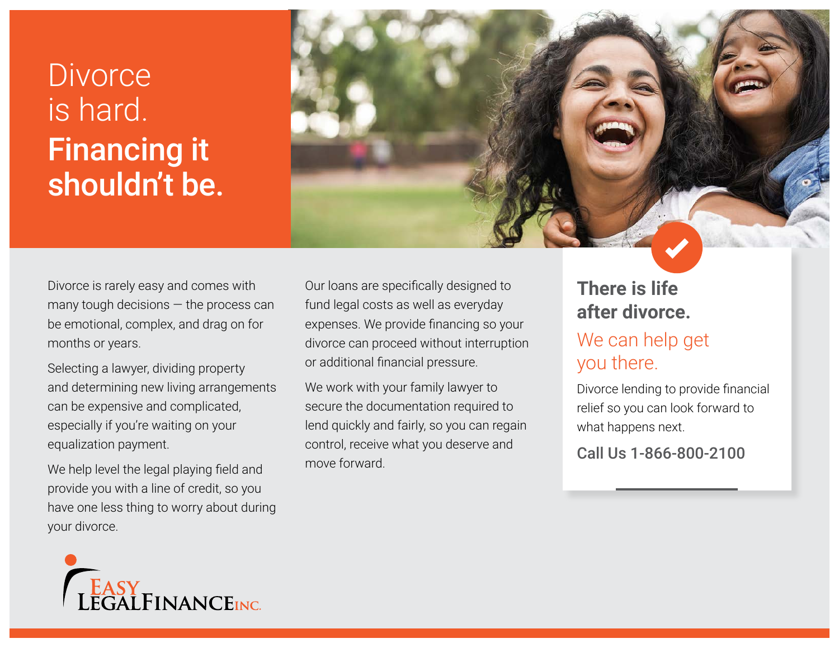# **Divorce** is hard. Financing it shouldn't be.



Divorce is rarely easy and comes with many tough decisions — the process can be emotional, complex, and drag on for months or years.

Selecting a lawyer, dividing property and determining new living arrangements can be expensive and complicated, especially if you're waiting on your equalization payment.

We help level the legal playing field and provide you with a line of credit, so you have one less thing to worry about during your divorce.

Our loans are specifically designed to fund legal costs as well as everyday expenses. We provide financing so your divorce can proceed without interruption or additional financial pressure.

We work with your family lawyer to secure the documentation required to lend quickly and fairly, so you can regain control, receive what you deserve and move forward.

## **There is life after divorce.**

# We can help get you there.

Divorce lending to provide financial relief so you can look forward to what happens next.

Call Us 1-866-800-2100

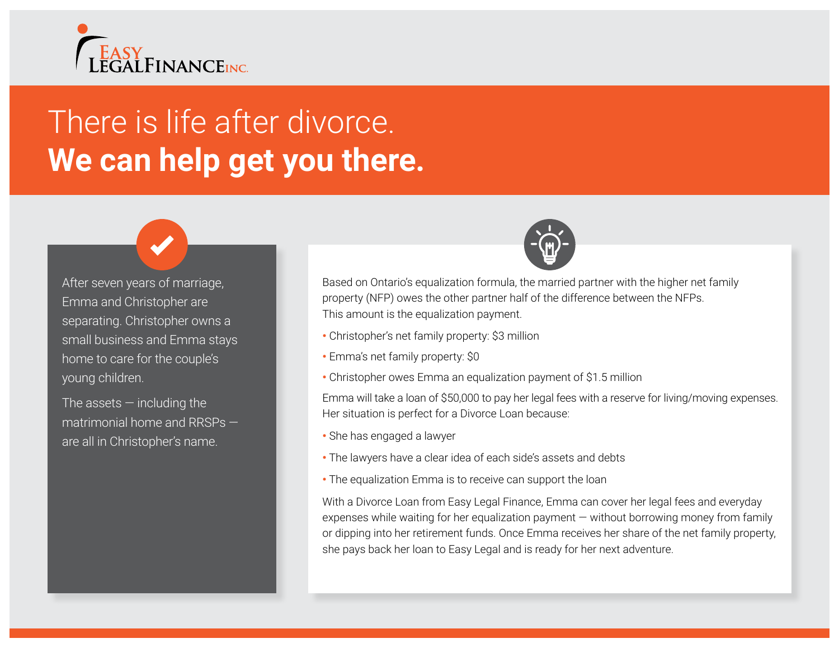

# There is life after divorce. **We can help get you there.**

After seven years of marriage, Emma and Christopher are separating. Christopher owns a small business and Emma stays home to care for the couple's young children.

The assets  $-$  including the matrimonial home and RRSPs are all in Christopher's name.



Based on Ontario's equalization formula, the married partner with the higher net family property (NFP) owes the other partner half of the difference between the NFPs. This amount is the equalization payment.

- Christopher's net family property: \$3 million
- Emma's net family property: \$0
- Christopher owes Emma an equalization payment of \$1.5 million

Emma will take a loan of \$50,000 to pay her legal fees with a reserve for living/moving expenses. Her situation is perfect for a Divorce Loan because:

- She has engaged a lawyer
- The lawyers have a clear idea of each side's assets and debts
- The equalization Emma is to receive can support the loan

With a Divorce Loan from Easy Legal Finance, Emma can cover her legal fees and everyday expenses while waiting for her equalization payment — without borrowing money from family or dipping into her retirement funds. Once Emma receives her share of the net family property, she pays back her loan to Easy Legal and is ready for her next adventure.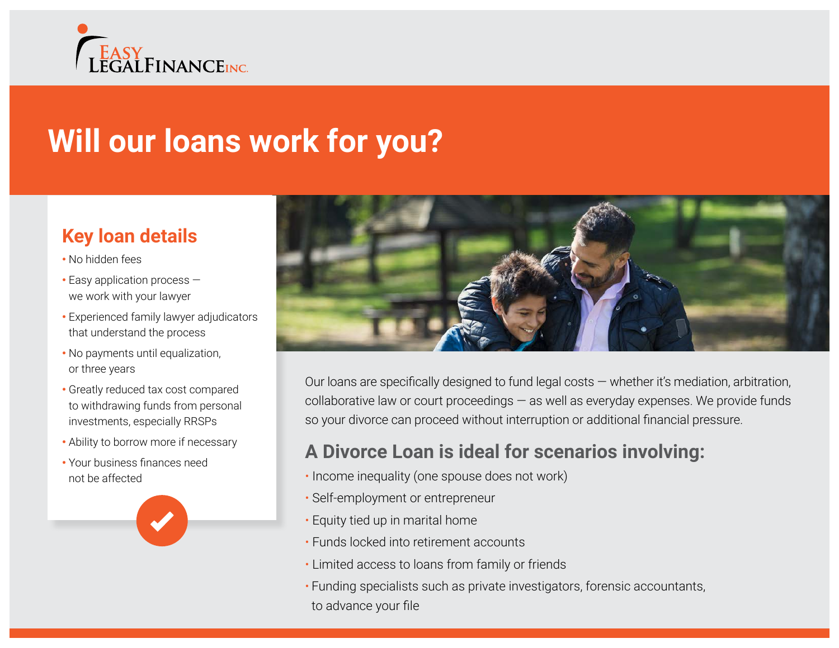

# **Will our loans work for you?**

## **Key loan details**

- No hidden fees
- Easy application process we work with your lawyer
- Experienced family lawyer adjudicators that understand the process
- No payments until equalization, or three years
- Greatly reduced tax cost compared to withdrawing funds from personal investments, especially RRSPs
- Ability to borrow more if necessary
- Your business finances need not be affected





Our loans are specifically designed to fund legal costs — whether it's mediation, arbitration, collaborative law or court proceedings — as well as everyday expenses. We provide funds so your divorce can proceed without interruption or additional financial pressure.

## **A Divorce Loan is ideal for scenarios involving:**

- Income inequality (one spouse does not work)
- Self-employment or entrepreneur
- Equity tied up in marital home
- Funds locked into retirement accounts
- Limited access to loans from family or friends
- Funding specialists such as private investigators, forensic accountants, to advance your file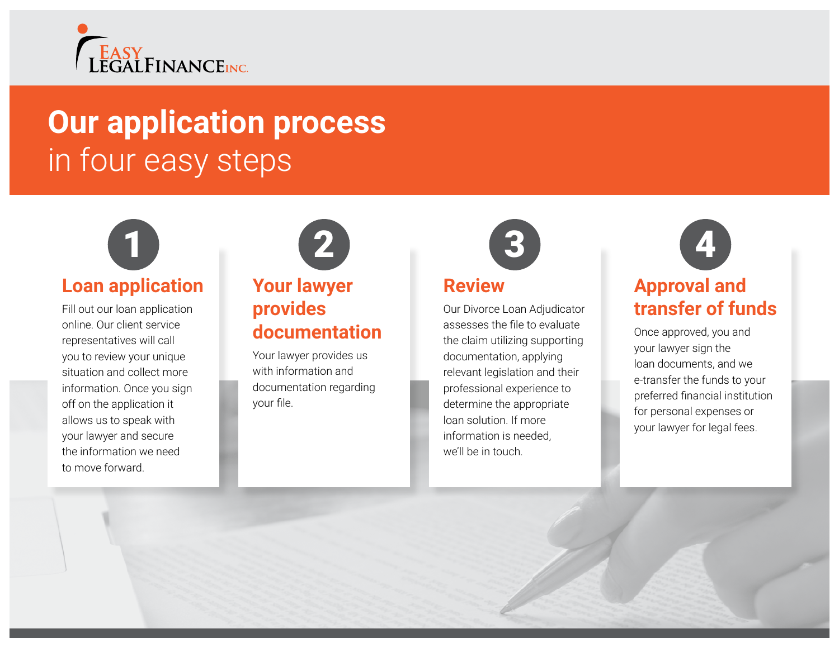

# **Our application process**  in four easy steps



## **Loan application**

Fill out our loan application online. Our client service representatives will call you to review your unique situation and collect more information. Once you sign off on the application it allows us to speak with your lawyer and secure the information we need to move forward.

# **Your lawyer provides documentation**

Your lawyer provides us with information and documentation regarding your file.



### **Review**

Our Divorce Loan Adjudicator assesses the file to evaluate the claim utilizing supporting documentation, applying relevant legislation and their professional experience to determine the appropriate loan solution. If more information is needed, we'll be in touch.



## **Approval and transfer of funds**

Once approved, you and your lawyer sign the loan documents, and we e-transfer the funds to your preferred financial institution for personal expenses or your lawyer for legal fees.